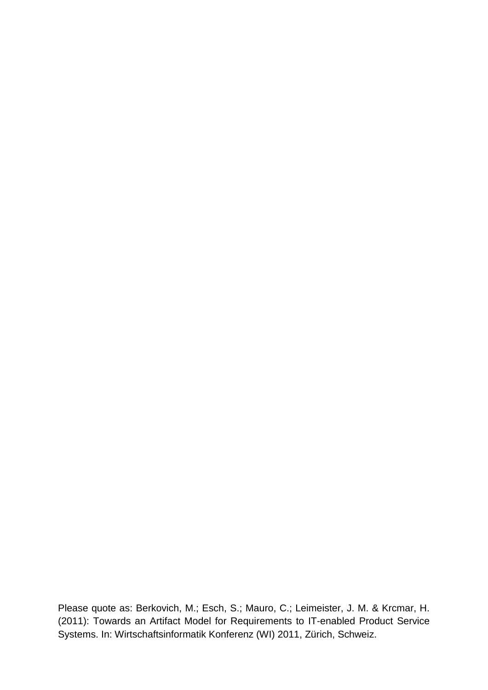Please quote as: Berkovich, M.; Esch, S.; Mauro, C.; Leimeister, J. M. & Krcmar, H. (2011): Towards an Artifact Model for Requirements to IT-enabled Product Service Systems. In: Wirtschaftsinformatik Konferenz (WI) 2011, Zürich, Schweiz.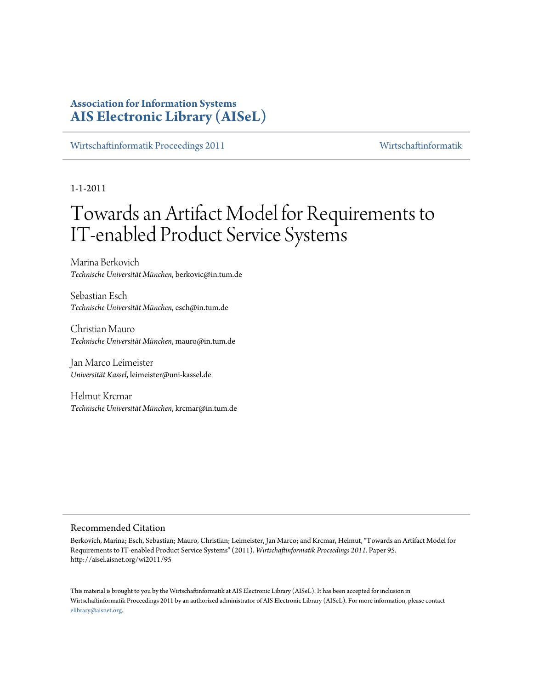# **Association for Information Systems [AIS Electronic Library \(AISeL\)](http://aisel.aisnet.org)**

[Wirtschaftinformatik Proceedings 2011](http://aisel.aisnet.org/wi2011) [Wirtschaftinformatik](http://aisel.aisnet.org/wi)

1-1-2011

# Towards an Artifact Model for Requirements to IT-enabled Product Service Systems

Marina Berkovich *Technische Universität München*, berkovic@in.tum.de

Sebastian Esch *Technische Universität München*, esch@in.tum.de

Christian Mauro *Technische Universität München*, mauro@in.tum.de

Jan Marco Leimeister *Universität Kassel*, leimeister@uni-kassel.de

Helmut Krcmar *Technische Universität München*, krcmar@in.tum.de

# Recommended Citation

Berkovich, Marina; Esch, Sebastian; Mauro, Christian; Leimeister, Jan Marco; and Krcmar, Helmut, "Towards an Artifact Model for Requirements to IT-enabled Product Service Systems" (2011). *Wirtschaftinformatik Proceedings 2011.* Paper 95. http://aisel.aisnet.org/wi2011/95

This material is brought to you by the Wirtschaftinformatik at AIS Electronic Library (AISeL). It has been accepted for inclusion in Wirtschaftinformatik Proceedings 2011 by an authorized administrator of AIS Electronic Library (AISeL). For more information, please contact [elibrary@aisnet.org.](mailto:elibrary@aisnet.org>)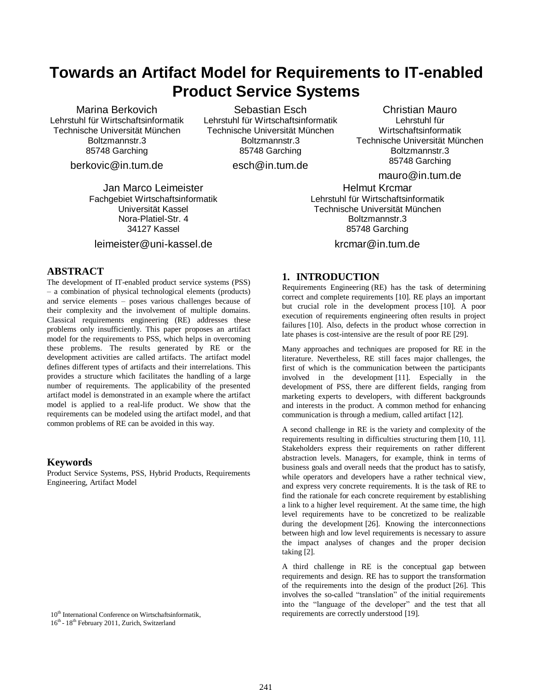# **Towards an Artifact Model for Requirements to IT-enabled Product Service Systems**

Marina Berkovich Lehrstuhl für Wirtschaftsinformatik Technische Universität München Boltzmannstr.3 85748 Garching

berkovic@in.tum.de

Jan Marco Leimeister Fachgebiet Wirtschaftsinformatik Universität Kassel Nora-Platiel-Str. 4 34127 Kassel

leimeister@uni-kassel.de

## **ABSTRACT**

The development of IT-enabled product service systems (PSS) – a combination of physical technological elements (products) and service elements – poses various challenges because of their complexity and the involvement of multiple domains. Classical requirements engineering (RE) addresses these problems only insufficiently. This paper proposes an artifact model for the requirements to PSS, which helps in overcoming these problems. The results generated by RE or the development activities are called artifacts. The artifact model defines different types of artifacts and their interrelations. This provides a structure which facilitates the handling of a large number of requirements. The applicability of the presented artifact model is demonstrated in an example where the artifact model is applied to a real-life product. We show that the requirements can be modeled using the artifact model, and that common problems of RE can be avoided in this way.

## **Keywords**

Product Service Systems, PSS, Hybrid Products, Requirements Engineering, Artifact Model

16<sup>th</sup> - 18<sup>th</sup> February 2011, Zurich, Switzerland

Sebastian Esch Lehrstuhl für Wirtschaftsinformatik Technische Universität München Boltzmannstr.3 85748 Garching

esch@in.tum.de

Christian Mauro Lehrstuhl für Wirtschaftsinformatik Technische Universität München Boltzmannstr.3 85748 Garching

mauro@in.tum.de

Helmut Krcmar Lehrstuhl für Wirtschaftsinformatik Technische Universität München Boltzmannstr.3 85748 Garching

krcmar@in.tum.de

# **1. INTRODUCTION**

Requirements Engineering (RE) has the task of determining correct and complete requirements [10]. RE plays an important but crucial role in the development process [10]. A poor execution of requirements engineering often results in project failures [10]. Also, defects in the product whose correction in late phases is cost-intensive are the result of poor RE [29].

Many approaches and techniques are proposed for RE in the literature. Nevertheless, RE still faces major challenges, the first of which is the communication between the participants involved in the development [11]. Especially in the development of PSS, there are different fields, ranging from marketing experts to developers, with different backgrounds and interests in the product. A common method for enhancing communication is through a medium, called artifact [12].

A second challenge in RE is the variety and complexity of the requirements resulting in difficulties structuring them [10, 11]. Stakeholders express their requirements on rather different abstraction levels. Managers, for example, think in terms of business goals and overall needs that the product has to satisfy, while operators and developers have a rather technical view, and express very concrete requirements. It is the task of RE to find the rationale for each concrete requirement by establishing a link to a higher level requirement. At the same time, the high level requirements have to be concretized to be realizable during the development [26]. Knowing the interconnections between high and low level requirements is necessary to assure the impact analyses of changes and the proper decision taking [2].

A third challenge in RE is the conceptual gap between requirements and design. RE has to support the transformation of the requirements into the design of the product [26]. This involves the so-called "translation" of the initial requirements into the "language of the developer" and the test that all 10<sup>th</sup> International Conference on Wirtschaftsinformatik, research very requirements are correctly understood [19].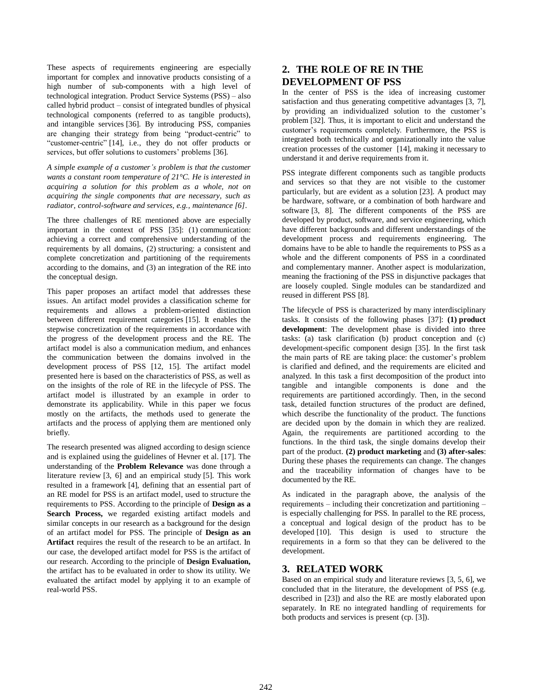These aspects of requirements engineering are especially important for complex and innovative products consisting of a high number of sub-components with a high level of technological integration. Product Service Systems (PSS) – also called hybrid product – consist of integrated bundles of physical technological components (referred to as tangible products), and intangible services [36]. By introducing PSS, companies are changing their strategy from being "product-centric" to "customer-centric" [14], i.e., they do not offer products or services, but offer solutions to customers' problems [36].

*A simple example of a customer's problem is that the customer wants a constant room temperature of 21°C. He is interested in acquiring a solution for this problem as a whole, not on acquiring the single components that are necessary, such as radiator, control-software and services, e.g., maintenance [6].*

The three challenges of RE mentioned above are especially important in the context of PSS [35]: (1) communication: achieving a correct and comprehensive understanding of the requirements by all domains, (2) structuring: a consistent and complete concretization and partitioning of the requirements according to the domains, and (3) an integration of the RE into the conceptual design.

This paper proposes an artifact model that addresses these issues. An artifact model provides a classification scheme for requirements and allows a problem-oriented distinction between different requirement categories [15]. It enables the stepwise concretization of the requirements in accordance with the progress of the development process and the RE. The artifact model is also a communication medium, and enhances the communication between the domains involved in the development process of PSS [12, 15]. The artifact model presented here is based on the characteristics of PSS, as well as on the insights of the role of RE in the lifecycle of PSS. The artifact model is illustrated by an example in order to demonstrate its applicability. While in this paper we focus mostly on the artifacts, the methods used to generate the artifacts and the process of applying them are mentioned only briefly.

The research presented was aligned according to design science and is explained using the guidelines of Hevner et al. [17]. The understanding of the **Problem Relevance** was done through a literature review [3, 6] and an empirical study [5]. This work resulted in a framework [4], defining that an essential part of an RE model for PSS is an artifact model, used to structure the requirements to PSS. According to the principle of **Design as a Search Process,** we regarded existing artifact models and similar concepts in our research as a background for the design of an artifact model for PSS. The principle of **Design as an Artifact** requires the result of the research to be an artifact. In our case, the developed artifact model for PSS is the artifact of our research. According to the principle of **Design Evaluation,** the artifact has to be evaluated in order to show its utility. We evaluated the artifact model by applying it to an example of real-world PSS.

# **2. THE ROLE OF RE IN THE DEVELOPMENT OF PSS**

In the center of PSS is the idea of increasing customer satisfaction and thus generating competitive advantages [3, 7], by providing an individualized solution to the customer's problem [32]. Thus, it is important to elicit and understand the customer's requirements completely. Furthermore, the PSS is integrated both technically and organizationally into the value creation processes of the customer [14], making it necessary to understand it and derive requirements from it.

PSS integrate different components such as tangible products and services so that they are not visible to the customer particularly, but are evident as a solution [23]. A product may be hardware, software, or a combination of both hardware and software [3, 8]. The different components of the PSS are developed by product, software, and service engineering, which have different backgrounds and different understandings of the development process and requirements engineering. The domains have to be able to handle the requirements to PSS as a whole and the different components of PSS in a coordinated and complementary manner. Another aspect is modularization, meaning the fractioning of the PSS in disjunctive packages that are loosely coupled. Single modules can be standardized and reused in different PSS [8].

The lifecycle of PSS is characterized by many interdisciplinary tasks. It consists of the following phases [37]: **(1) product development**: The development phase is divided into three tasks: (a) task clarification (b) product conception and (c) development-specific component design [35]. In the first task the main parts of RE are taking place: the customer's problem is clarified and defined, and the requirements are elicited and analyzed. In this task a first decomposition of the product into tangible and intangible components is done and the requirements are partitioned accordingly. Then, in the second task, detailed function structures of the product are defined, which describe the functionality of the product. The functions are decided upon by the domain in which they are realized. Again, the requirements are partitioned according to the functions. In the third task, the single domains develop their part of the product. **(2) product marketing** and **(3) after-sales**: During these phases the requirements can change. The changes and the traceability information of changes have to be documented by the RE.

As indicated in the paragraph above, the analysis of the requirements – including their concretization and partitioning – is especially challenging for PSS. In parallel to the RE process, a conceptual and logical design of the product has to be developed [10]. This design is used to structure the requirements in a form so that they can be delivered to the development.

# **3. RELATED WORK**

Based on an empirical study and literature reviews [3, 5, 6], we concluded that in the literature, the development of PSS (e.g. described in [23]) and also the RE are mostly elaborated upon separately. In RE no integrated handling of requirements for both products and services is present (cp. [3]).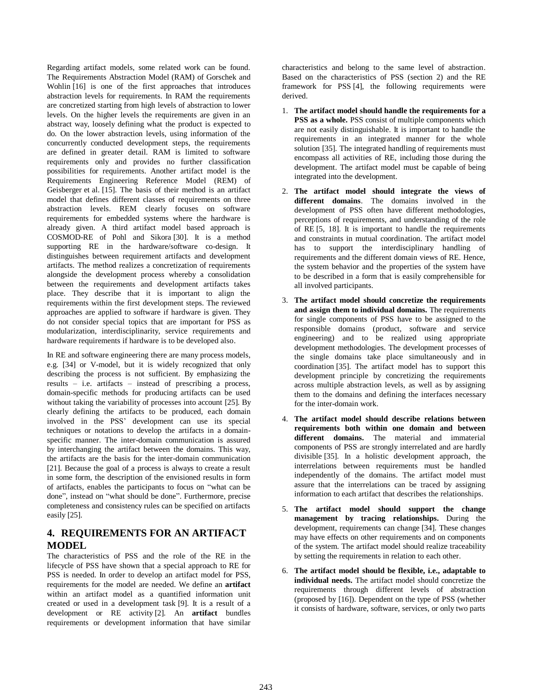Regarding artifact models, some related work can be found. The Requirements Abstraction Model (RAM) of Gorschek and Wohlin [16] is one of the first approaches that introduces abstraction levels for requirements. In RAM the requirements are concretized starting from high levels of abstraction to lower levels. On the higher levels the requirements are given in an abstract way, loosely defining what the product is expected to do. On the lower abstraction levels, using information of the concurrently conducted development steps, the requirements are defined in greater detail. RAM is limited to software requirements only and provides no further classification possibilities for requirements. Another artifact model is the Requirements Engineering Reference Model (REM) of Geisberger et al. [15]. The basis of their method is an artifact model that defines different classes of requirements on three abstraction levels. REM clearly focuses on software requirements for embedded systems where the hardware is already given. A third artifact model based approach is COSMOD-RE of Pohl and Sikora [30]. It is a method supporting RE in the hardware/software co-design. It distinguishes between requirement artifacts and development artifacts. The method realizes a concretization of requirements alongside the development process whereby a consolidation between the requirements and development artifacts takes place. They describe that it is important to align the requirements within the first development steps. The reviewed approaches are applied to software if hardware is given. They do not consider special topics that are important for PSS as modularization, interdisciplinarity, service requirements and hardware requirements if hardware is to be developed also.

In RE and software engineering there are many process models, e.g. [34] or V-model, but it is widely recognized that only describing the process is not sufficient. By emphasizing the results – i.e. artifacts – instead of prescribing a process, domain-specific methods for producing artifacts can be used without taking the variability of processes into account [25]. By clearly defining the artifacts to be produced, each domain involved in the PSS' development can use its special techniques or notations to develop the artifacts in a domainspecific manner. The inter-domain communication is assured by interchanging the artifact between the domains. This way, the artifacts are the basis for the inter-domain communication [21]. Because the goal of a process is always to create a result in some form, the description of the envisioned results in form of artifacts, enables the participants to focus on "what can be done", instead on "what should be done". Furthermore, precise completeness and consistency rules can be specified on artifacts easily [25].

# **4. REQUIREMENTS FOR AN ARTIFACT MODEL**

The characteristics of PSS and the role of the RE in the lifecycle of PSS have shown that a special approach to RE for PSS is needed. In order to develop an artifact model for PSS, requirements for the model are needed. We define an **artifact** within an artifact model as a quantified information unit created or used in a development task [9]. It is a result of a development or RE activity [2]. An **artifact** bundles requirements or development information that have similar

characteristics and belong to the same level of abstraction. Based on the characteristics of PSS (section 2) and the RE framework for PSS [4], the following requirements were derived.

- 1. **The artifact model should handle the requirements for a PSS as a whole.** PSS consist of multiple components which are not easily distinguishable. It is important to handle the requirements in an integrated manner for the whole solution [35]. The integrated handling of requirements must encompass all activities of RE, including those during the development. The artifact model must be capable of being integrated into the development.
- 2. **The artifact model should integrate the views of different domains**. The domains involved in the development of PSS often have different methodologies, perceptions of requirements, and understanding of the role of RE [5, 18]. It is important to handle the requirements and constraints in mutual coordination. The artifact model has to support the interdisciplinary handling of requirements and the different domain views of RE. Hence, the system behavior and the properties of the system have to be described in a form that is easily comprehensible for all involved participants.
- 3. **The artifact model should concretize the requirements and assign them to individual domains.** The requirements for single components of PSS have to be assigned to the responsible domains (product, software and service engineering) and to be realized using appropriate development methodologies. The development processes of the single domains take place simultaneously and in coordination [35]. The artifact model has to support this development principle by concretizing the requirements across multiple abstraction levels, as well as by assigning them to the domains and defining the interfaces necessary for the inter-domain work.
- 4. **The artifact model should describe relations between requirements both within one domain and between different domains.** The material and immaterial components of PSS are strongly interrelated and are hardly divisible [35]. In a holistic development approach, the interrelations between requirements must be handled independently of the domains. The artifact model must assure that the interrelations can be traced by assigning information to each artifact that describes the relationships.
- 5. **The artifact model should support the change management by tracing relationships.** During the development, requirements can change [34]. These changes may have effects on other requirements and on components of the system. The artifact model should realize traceability by setting the requirements in relation to each other.
- 6. **The artifact model should be flexible, i.e., adaptable to individual needs.** The artifact model should concretize the requirements through different levels of abstraction (proposed by [16]). Dependent on the type of PSS (whether it consists of hardware, software, services, or only two parts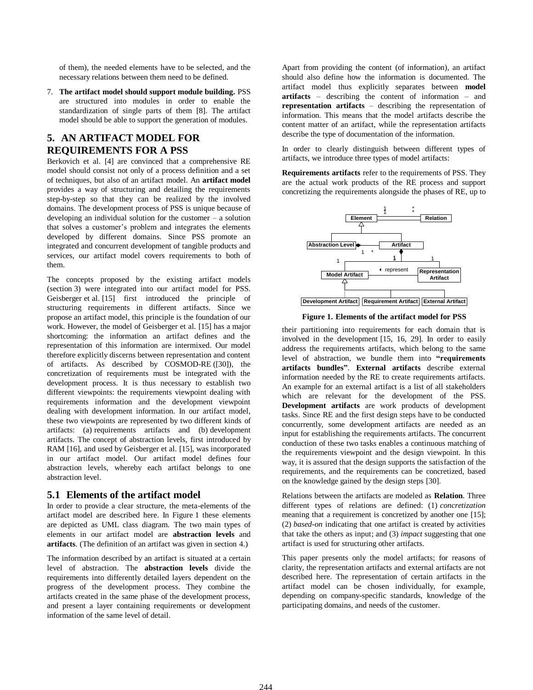of them), the needed elements have to be selected, and the necessary relations between them need to be defined.

7. **The artifact model should support module building.** PSS are structured into modules in order to enable the standardization of single parts of them [8]. The artifact model should be able to support the generation of modules.

# **5. AN ARTIFACT MODEL FOR REQUIREMENTS FOR A PSS**

Berkovich et al. [4] are convinced that a comprehensive RE model should consist not only of a process definition and a set of techniques, but also of an artifact model. An **artifact model** provides a way of structuring and detailing the requirements step-by-step so that they can be realized by the involved domains. The development process of PSS is unique because of developing an individual solution for the customer – a solution that solves a customer's problem and integrates the elements developed by different domains. Since PSS promote an integrated and concurrent development of tangible products and services, our artifact model covers requirements to both of them.

The concepts proposed by the existing artifact models (section 3) were integrated into our artifact model for PSS. Geisberger et al. [15] first introduced the principle of structuring requirements in different artifacts. Since we propose an artifact model, this principle is the foundation of our work. However, the model of Geisberger et al. [15] has a major shortcoming: the information an artifact defines and the representation of this information are intermixed. Our model therefore explicitly discerns between representation and content of artifacts. As described by COSMOD-RE ([30]), the concretization of requirements must be integrated with the development process. It is thus necessary to establish two different viewpoints: the requirements viewpoint dealing with requirements information and the development viewpoint dealing with development information. In our artifact model, these two viewpoints are represented by two different kinds of artifacts: (a) requirements artifacts and (b) development artifacts. The concept of abstraction levels, first introduced by RAM [16], and used by Geisberger et al. [15], was incorporated in our artifact model. Our artifact model defines four abstraction levels, whereby each artifact belongs to one abstraction level.

## **5.1 Elements of the artifact model**

In order to provide a clear structure, the meta-elements of the artifact model are described here. In Figure 1 these elements are depicted as UML class diagram. The two main types of elements in our artifact model are **abstraction levels** and **artifacts**. (The definition of an artifact was given in section 4.)

The information described by an artifact is situated at a certain level of abstraction. The **abstraction levels** divide the requirements into differently detailed layers dependent on the progress of the development process. They combine the artifacts created in the same phase of the development process, and present a layer containing requirements or development information of the same level of detail.

Apart from providing the content (of information), an artifact should also define how the information is documented. The artifact model thus explicitly separates between **model artifacts** – describing the content of information – and **representation artifacts** – describing the representation of information. This means that the model artifacts describe the content matter of an artifact, while the representation artifacts describe the type of documentation of the information.

In order to clearly distinguish between different types of artifacts, we introduce three types of model artifacts:

**Requirements artifacts** refer to the requirements of PSS. They are the actual work products of the RE process and support concretizing the requirements alongside the phases of RE, up to



**Figure 1. Elements of the artifact model for PSS**

their partitioning into requirements for each domain that is involved in the development [15, 16, 29]. In order to easily address the requirements artifacts, which belong to the same level of abstraction, we bundle them into **"requirements artifacts bundles"**. **External artifacts** describe external information needed by the RE to create requirements artifacts. An example for an external artifact is a list of all stakeholders which are relevant for the development of the PSS. **Development artifacts** are work products of development tasks. Since RE and the first design steps have to be conducted concurrently, some development artifacts are needed as an input for establishing the requirements artifacts. The concurrent conduction of these two tasks enables a continuous matching of the requirements viewpoint and the design viewpoint. In this way, it is assured that the design supports the satisfaction of the requirements, and the requirements can be concretized, based on the knowledge gained by the design steps [30].

Relations between the artifacts are modeled as **Relation**. Three different types of relations are defined: (1) *concretization* meaning that a requirement is concretized by another one [15]; (2) *based-on* indicating that one artifact is created by activities that take the others as input; and (3) *impact* suggesting that one artifact is used for structuring other artifacts.

This paper presents only the model artifacts; for reasons of clarity, the representation artifacts and external artifacts are not described here. The representation of certain artifacts in the artifact model can be chosen individually, for example, depending on company-specific standards, knowledge of the participating domains, and needs of the customer.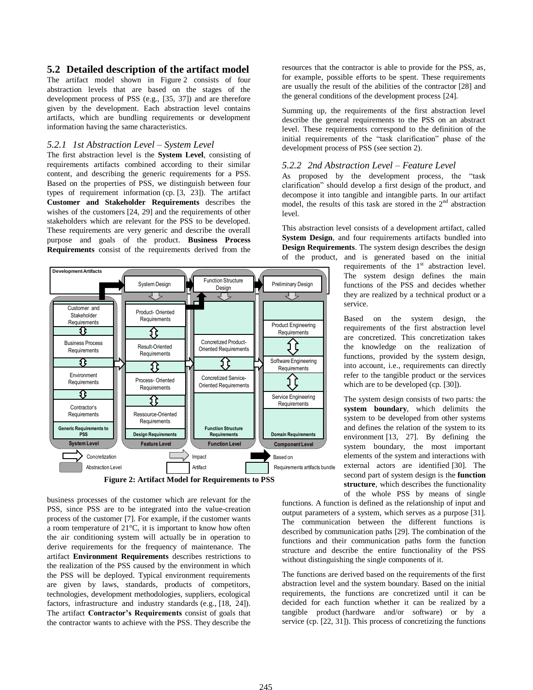## **5.2 Detailed description of the artifact model**

The artifact model shown in Figure 2 consists of four abstraction levels that are based on the stages of the development process of PSS (e.g., [35, 37]) and are therefore given by the development. Each abstraction level contains artifacts, which are bundling requirements or development information having the same characteristics.

#### *5.2.1 1st Abstraction Level – System Level*

The first abstraction level is the **System Level**, consisting of requirements artifacts combined according to their similar content, and describing the generic requirements for a PSS. Based on the properties of PSS, we distinguish between four types of requirement information (cp. [3, 23]). The artifact **Customer and Stakeholder Requirements** describes the wishes of the customers [24, 29] and the requirements of other stakeholders which are relevant for the PSS to be developed. These requirements are very generic and describe the overall purpose and goals of the product. **Business Process Requirements** consist of the requirements derived from the



business processes of the customer which are relevant for the PSS, since PSS are to be integrated into the value-creation process of the customer [7]. For example, if the customer wants a room temperature of 21°C, it is important to know how often the air conditioning system will actually be in operation to derive requirements for the frequency of maintenance. The artifact **Environment Requirements** describes restrictions to the realization of the PSS caused by the environment in which the PSS will be deployed. Typical environment requirements are given by laws, standards, products of competitors, technologies, development methodologies, suppliers, ecological factors, infrastructure and industry standards (e.g., [18, 24]). The artifact **Contractor's Requirements** consist of goals that the contractor wants to achieve with the PSS. They describe the resources that the contractor is able to provide for the PSS, as, for example, possible efforts to be spent. These requirements are usually the result of the abilities of the contractor [28] and the general conditions of the development process [24].

Summing up, the requirements of the first abstraction level describe the general requirements to the PSS on an abstract level. These requirements correspond to the definition of the initial requirements of the "task clarification" phase of the development process of PSS (see section 2).

#### *5.2.2 2nd Abstraction Level – Feature Level*

As proposed by the development process, the "task clarification" should develop a first design of the product, and decompose it into tangible and intangible parts. In our artifact model, the results of this task are stored in the  $2<sup>nd</sup>$  abstraction level.

This abstraction level consists of a development artifact, called **System Design**, and four requirements artifacts bundled into **Design Requirements**. The system design describes the design of the product, and is generated based on the initial

requirements of the  $1<sup>st</sup>$  abstraction level. The system design defines the main functions of the PSS and decides whether they are realized by a technical product or a service.

Based on the system design, the requirements of the first abstraction level are concretized. This concretization takes the knowledge on the realization of functions, provided by the system design, into account, i.e., requirements can directly refer to the tangible product or the services which are to be developed (cp. [30]).

The system design consists of two parts: the **system boundary**, which delimits the system to be developed from other systems and defines the relation of the system to its environment [13, 27]. By defining the system boundary, the most important elements of the system and interactions with external actors are identified [30]. The second part of system design is the **function structure**, which describes the functionality of the whole PSS by means of single

functions. A function is defined as the relationship of input and output parameters of a system, which serves as a purpose [31]. The communication between the different functions is described by communication paths [29]. The combination of the functions and their communication paths form the function structure and describe the entire functionality of the PSS without distinguishing the single components of it.

The functions are derived based on the requirements of the first abstraction level and the system boundary. Based on the initial requirements, the functions are concretized until it can be decided for each function whether it can be realized by a tangible product (hardware and/or software) or by a service (cp. [22, 31]). This process of concretizing the functions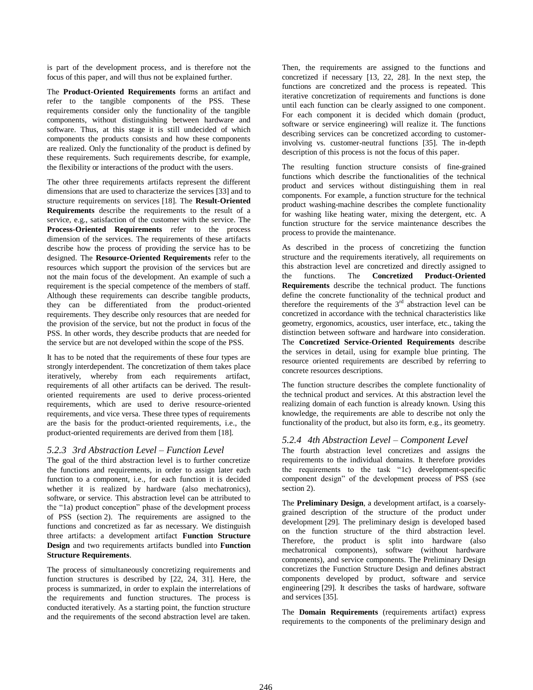is part of the development process, and is therefore not the focus of this paper, and will thus not be explained further.

The **Product-Oriented Requirements** forms an artifact and refer to the tangible components of the PSS. These requirements consider only the functionality of the tangible components, without distinguishing between hardware and software. Thus, at this stage it is still undecided of which components the products consists and how these components are realized. Only the functionality of the product is defined by these requirements. Such requirements describe, for example, the flexibility or interactions of the product with the users.

The other three requirements artifacts represent the different dimensions that are used to characterize the services [33] and to structure requirements on services [18]. The **Result-Oriented Requirements** describe the requirements to the result of a service, e.g., satisfaction of the customer with the service. The **Process-Oriented Requirements** refer to the process dimension of the services. The requirements of these artifacts describe how the process of providing the service has to be designed. The **Resource-Oriented Requirements** refer to the resources which support the provision of the services but are not the main focus of the development. An example of such a requirement is the special competence of the members of staff. Although these requirements can describe tangible products, they can be differentiated from the product-oriented requirements. They describe only resources that are needed for the provision of the service, but not the product in focus of the PSS. In other words, they describe products that are needed for the service but are not developed within the scope of the PSS.

It has to be noted that the requirements of these four types are strongly interdependent. The concretization of them takes place iteratively, whereby from each requirements artifact, requirements of all other artifacts can be derived. The resultoriented requirements are used to derive process-oriented requirements, which are used to derive resource-oriented requirements, and vice versa. These three types of requirements are the basis for the product-oriented requirements, i.e., the product-oriented requirements are derived from them [18].

## *5.2.3 3rd Abstraction Level – Function Level*

The goal of the third abstraction level is to further concretize the functions and requirements, in order to assign later each function to a component, i.e., for each function it is decided whether it is realized by hardware (also mechatronics), software, or service. This abstraction level can be attributed to the "1a) product conception" phase of the development process of PSS (section 2). The requirements are assigned to the functions and concretized as far as necessary. We distinguish three artifacts: a development artifact **Function Structure Design** and two requirements artifacts bundled into **Function Structure Requirements**.

The process of simultaneously concretizing requirements and function structures is described by [22, 24, 31]. Here, the process is summarized, in order to explain the interrelations of the requirements and function structures. The process is conducted iteratively. As a starting point, the function structure and the requirements of the second abstraction level are taken.

Then, the requirements are assigned to the functions and concretized if necessary [13, 22, 28]. In the next step, the functions are concretized and the process is repeated. This iterative concretization of requirements and functions is done until each function can be clearly assigned to one component. For each component it is decided which domain (product, software or service engineering) will realize it. The functions describing services can be concretized according to customerinvolving vs. customer-neutral functions [35]. The in-depth description of this process is not the focus of this paper.

The resulting function structure consists of fine-grained functions which describe the functionalities of the technical product and services without distinguishing them in real components. For example, a function structure for the technical product washing-machine describes the complete functionality for washing like heating water, mixing the detergent, etc. A function structure for the service maintenance describes the process to provide the maintenance.

As described in the process of concretizing the function structure and the requirements iteratively, all requirements on this abstraction level are concretized and directly assigned to the functions. The **Concretized Product-Oriented Requirements** describe the technical product. The functions define the concrete functionality of the technical product and therefore the requirements of the  $3<sup>rd</sup>$  abstraction level can be concretized in accordance with the technical characteristics like geometry, ergonomics, acoustics, user interface, etc., taking the distinction between software and hardware into consideration. The **Concretized Service-Oriented Requirements** describe the services in detail, using for example blue printing. The resource oriented requirements are described by referring to concrete resources descriptions.

The function structure describes the complete functionality of the technical product and services. At this abstraction level the realizing domain of each function is already known. Using this knowledge, the requirements are able to describe not only the functionality of the product, but also its form, e.g., its geometry.

## *5.2.4 4th Abstraction Level – Component Level*

The fourth abstraction level concretizes and assigns the requirements to the individual domains. It therefore provides the requirements to the task "1c) development-specific component design" of the development process of PSS (see section 2).

The **Preliminary Design**, a development artifact, is a coarselygrained description of the structure of the product under development [29]. The preliminary design is developed based on the function structure of the third abstraction level. Therefore, the product is split into hardware (also mechatronical components), software (without hardware components), and service components. The Preliminary Design concretizes the Function Structure Design and defines abstract components developed by product, software and service engineering [29]. It describes the tasks of hardware, software and services [35].

The **Domain Requirements** (requirements artifact) express requirements to the components of the preliminary design and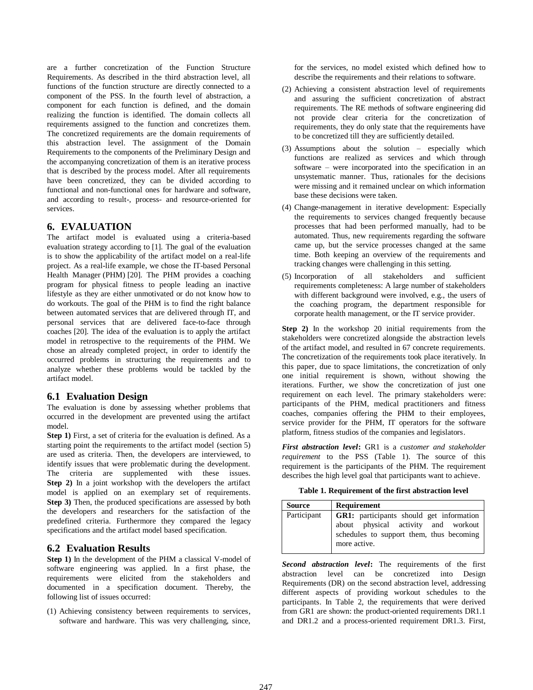are a further concretization of the Function Structure Requirements. As described in the third abstraction level, all functions of the function structure are directly connected to a component of the PSS. In the fourth level of abstraction, a component for each function is defined, and the domain realizing the function is identified. The domain collects all requirements assigned to the function and concretizes them. The concretized requirements are the domain requirements of this abstraction level. The assignment of the Domain Requirements to the components of the Preliminary Design and the accompanying concretization of them is an iterative process that is described by the process model. After all requirements have been concretized, they can be divided according to functional and non-functional ones for hardware and software, and according to result-, process- and resource-oriented for services.

# **6. EVALUATION**

The artifact model is evaluated using a criteria-based evaluation strategy according to [1]. The goal of the evaluation is to show the applicability of the artifact model on a real-life project. As a real-life example, we chose the IT-based Personal Health Manager (PHM) [20]. The PHM provides a coaching program for physical fitness to people leading an inactive lifestyle as they are either unmotivated or do not know how to do workouts. The goal of the PHM is to find the right balance between automated services that are delivered through IT, and personal services that are delivered face-to-face through coaches [20]. The idea of the evaluation is to apply the artifact model in retrospective to the requirements of the PHM. We chose an already completed project, in order to identify the occurred problems in structuring the requirements and to analyze whether these problems would be tackled by the artifact model.

# **6.1 Evaluation Design**

The evaluation is done by assessing whether problems that occurred in the development are prevented using the artifact model.

**Step 1)** First, a set of criteria for the evaluation is defined. As a starting point the requirements to the artifact model (section 5) are used as criteria. Then, the developers are interviewed, to identify issues that were problematic during the development. The criteria are supplemented with these issues. **Step 2)** In a joint workshop with the developers the artifact model is applied on an exemplary set of requirements. **Step 3)** Then, the produced specifications are assessed by both the developers and researchers for the satisfaction of the predefined criteria. Furthermore they compared the legacy specifications and the artifact model based specification.

# **6.2 Evaluation Results**

**Step 1)** In the development of the PHM a classical V-model of software engineering was applied. In a first phase, the requirements were elicited from the stakeholders and documented in a specification document. Thereby, the following list of issues occurred:

(1) Achieving consistency between requirements to services, software and hardware. This was very challenging, since, for the services, no model existed which defined how to describe the requirements and their relations to software.

- (2) Achieving a consistent abstraction level of requirements and assuring the sufficient concretization of abstract requirements. The RE methods of software engineering did not provide clear criteria for the concretization of requirements, they do only state that the requirements have to be concretized till they are sufficiently detailed.
- (3) Assumptions about the solution especially which functions are realized as services and which through software – were incorporated into the specification in an unsystematic manner. Thus, rationales for the decisions were missing and it remained unclear on which information base these decisions were taken.
- (4) Change-management in iterative development: Especially the requirements to services changed frequently because processes that had been performed manually, had to be automated. Thus, new requirements regarding the software came up, but the service processes changed at the same time. Both keeping an overview of the requirements and tracking changes were challenging in this setting.
- (5) Incorporation of all stakeholders and sufficient requirements completeness: A large number of stakeholders with different background were involved, e.g., the users of the coaching program, the department responsible for corporate health management, or the IT service provider.

**Step 2)** In the workshop 20 initial requirements from the stakeholders were concretized alongside the abstraction levels of the artifact model, and resulted in 67 concrete requirements. The concretization of the requirements took place iteratively. In this paper, due to space limitations, the concretization of only one initial requirement is shown, without showing the iterations. Further, we show the concretization of just one requirement on each level. The primary stakeholders were: participants of the PHM, medical practitioners and fitness coaches, companies offering the PHM to their employees, service provider for the PHM, IT operators for the software platform, fitness studios of the companies and legislators.

*First abstraction level***:** GR1 is a *customer and stakeholder requirement* to the PSS (Table 1). The source of this requirement is the participants of the PHM. The requirement describes the high level goal that participants want to achieve.

**Table 1. Requirement of the first abstraction level**

| <b>Source</b> | Requirement                                                                                                                                        |  |  |
|---------------|----------------------------------------------------------------------------------------------------------------------------------------------------|--|--|
| Participant   | <b>GR1:</b> participants should get information<br>about physical activity and workout<br>schedules to support them, thus becoming<br>more active. |  |  |

*Second abstraction level***:** The requirements of the first abstraction level can be concretized into Design Requirements (DR) on the second abstraction level, addressing different aspects of providing workout schedules to the participants. In Table 2, the requirements that were derived from GR1 are shown: the product-oriented requirements DR1.1 and DR1.2 and a process-oriented requirement DR1.3. First,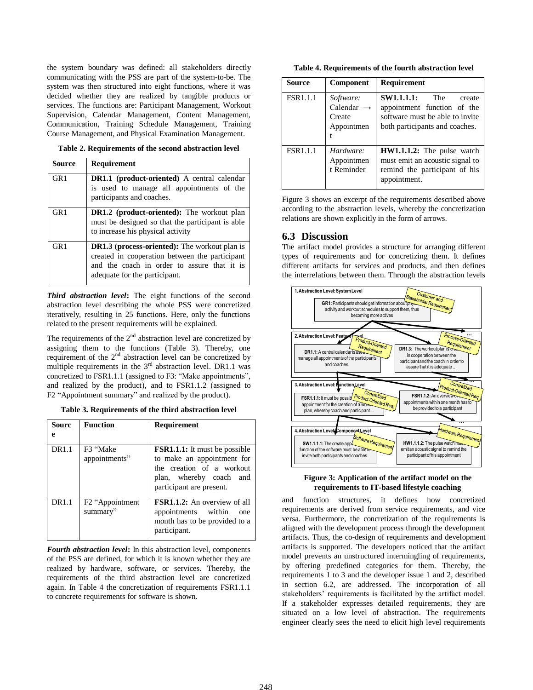the system boundary was defined: all stakeholders directly communicating with the PSS are part of the system-to-be. The system was then structured into eight functions, where it was decided whether they are realized by tangible products or services. The functions are: Participant Management, Workout Supervision, Calendar Management, Content Management, Communication, Training Schedule Management, Training Course Management, and Physical Examination Management.

**Table 2. Requirements of the second abstraction level**

| Source | <b>Requirement</b>                                                                                                                                                                     |  |
|--------|----------------------------------------------------------------------------------------------------------------------------------------------------------------------------------------|--|
| GR1    | <b>DR1.1</b> (product-oriented) A central calendar<br>is used to manage all appointments of the<br>participants and coaches.                                                           |  |
| GR1    | <b>DR1.2</b> (product-oriented): The workout plan<br>must be designed so that the participant is able<br>to increase his physical activity                                             |  |
| GR1    | <b>DR1.3</b> (process-oriented): The workout plan is<br>created in cooperation between the participant<br>and the coach in order to assure that it is<br>adequate for the participant. |  |

*Third abstraction level***:** The eight functions of the second abstraction level describing the whole PSS were concretized iteratively, resulting in 25 functions. Here, only the functions related to the present requirements will be explained.

The requirements of the  $2<sup>nd</sup>$  abstraction level are concretized by assigning them to the functions (Table 3). Thereby, one requirement of the  $2<sup>nd</sup>$  abstraction level can be concretized by multiple requirements in the  $3<sup>rd</sup>$  abstraction level. DR1.1 was concretized to FSR1.1.1 (assigned to F3: "Make appointments", and realized by the product), and to FSR1.1.2 (assigned to F2 "Appointment summary" and realized by the product).

**Table 3. Requirements of the third abstraction level**

| Sourc<br>e        | <b>Function</b>                          | <b>Requirement</b>                                                                                                                                     |
|-------------------|------------------------------------------|--------------------------------------------------------------------------------------------------------------------------------------------------------|
| DR <sub>1.1</sub> | F3 "Make<br>appointments"                | <b>FSR1.1.1:</b> It must be possible<br>to make an appointment for<br>the creation of a workout<br>plan, whereby coach and<br>participant are present. |
| DR1.1             | F <sub>2</sub> "Appointment"<br>summary" | <b>FSR1.1.2:</b> An overview of all<br>appointments within<br>one<br>month has to be provided to a<br>participant.                                     |

*Fourth abstraction level***:** In this abstraction level, components of the PSS are defined, for which it is known whether they are realized by hardware, software, or services. Thereby, the requirements of the third abstraction level are concretized again. In Table 4 the concretization of requirements FSR1.1.1 to concrete requirements for software is shown.

**Table 4. Requirements of the fourth abstraction level**

| Source          | <b>Component</b>                                            | <b>Requirement</b>                                                                                                                  |
|-----------------|-------------------------------------------------------------|-------------------------------------------------------------------------------------------------------------------------------------|
| <b>FSR1.1.1</b> | Software:<br>Calendar $\rightarrow$<br>Create<br>Appointmen | <b>SW1.1.1.1:</b> The<br>create<br>appointment function of the<br>software must be able to invite<br>both participants and coaches. |
| <b>FSR1.1.1</b> | Hardware:<br>Appointmen<br>t Reminder                       | HW1.1.1.2: The pulse watch<br>must emit an acoustic signal to<br>remind the participant of his<br>appointment.                      |

Figure 3 shows an excerpt of the requirements described above according to the abstraction levels, whereby the concretization relations are shown explicitly in the form of arrows.

# **6.3 Discussion**

The artifact model provides a structure for arranging different types of requirements and for concretizing them. It defines different artifacts for services and products, and then defines the interrelations between them. Through the abstraction levels



#### **Figure 3: Application of the artifact model on the requirements to IT-based lifestyle coaching**

and function structures, it defines how concretized requirements are derived from service requirements, and vice versa. Furthermore, the concretization of the requirements is aligned with the development process through the development artifacts. Thus, the co-design of requirements and development artifacts is supported. The developers noticed that the artifact model prevents an unstructured intermingling of requirements, by offering predefined categories for them. Thereby, the requirements 1 to 3 and the developer issue 1 and 2, described in section 6.2, are addressed. The incorporation of all stakeholders' requirements is facilitated by the artifact model. If a stakeholder expresses detailed requirements, they are situated on a low level of abstraction. The requirements engineer clearly sees the need to elicit high level requirements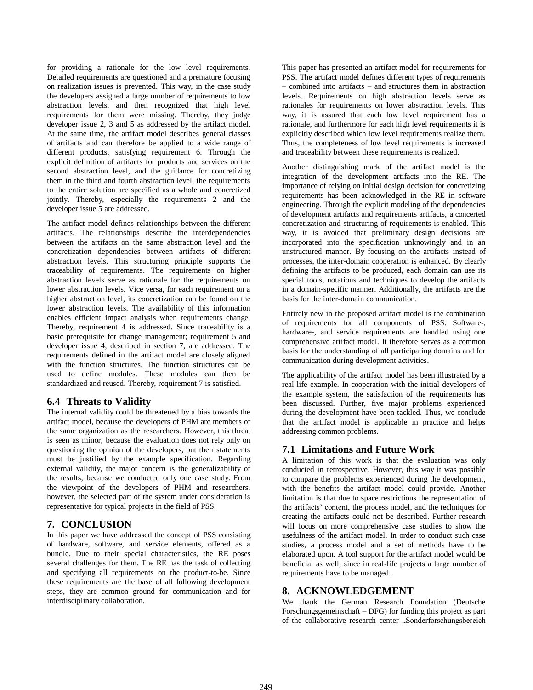for providing a rationale for the low level requirements. Detailed requirements are questioned and a premature focusing on realization issues is prevented. This way, in the case study the developers assigned a large number of requirements to low abstraction levels, and then recognized that high level requirements for them were missing. Thereby, they judge developer issue 2, 3 and 5 as addressed by the artifact model. At the same time, the artifact model describes general classes of artifacts and can therefore be applied to a wide range of different products, satisfying requirement 6. Through the explicit definition of artifacts for products and services on the second abstraction level, and the guidance for concretizing them in the third and fourth abstraction level, the requirements to the entire solution are specified as a whole and concretized jointly. Thereby, especially the requirements 2 and the developer issue 5 are addressed.

The artifact model defines relationships between the different artifacts. The relationships describe the interdependencies between the artifacts on the same abstraction level and the concretization dependencies between artifacts of different abstraction levels. This structuring principle supports the traceability of requirements. The requirements on higher abstraction levels serve as rationale for the requirements on lower abstraction levels. Vice versa, for each requirement on a higher abstraction level, its concretization can be found on the lower abstraction levels. The availability of this information enables efficient impact analysis when requirements change. Thereby, requirement 4 is addressed. Since traceability is a basic prerequisite for change management; requirement 5 and developer issue 4, described in section 7, are addressed. The requirements defined in the artifact model are closely aligned with the function structures. The function structures can be used to define modules. These modules can then be standardized and reused. Thereby, requirement 7 is satisfied.

# **6.4 Threats to Validity**

The internal validity could be threatened by a bias towards the artifact model, because the developers of PHM are members of the same organization as the researchers. However, this threat is seen as minor, because the evaluation does not rely only on questioning the opinion of the developers, but their statements must be justified by the example specification. Regarding external validity, the major concern is the generalizability of the results, because we conducted only one case study. From the viewpoint of the developers of PHM and researchers, however, the selected part of the system under consideration is representative for typical projects in the field of PSS.

# **7. CONCLUSION**

In this paper we have addressed the concept of PSS consisting of hardware, software, and service elements, offered as a bundle. Due to their special characteristics, the RE poses several challenges for them. The RE has the task of collecting and specifying all requirements on the product-to-be. Since these requirements are the base of all following development steps, they are common ground for communication and for interdisciplinary collaboration.

This paper has presented an artifact model for requirements for PSS. The artifact model defines different types of requirements – combined into artifacts – and structures them in abstraction levels. Requirements on high abstraction levels serve as rationales for requirements on lower abstraction levels. This way, it is assured that each low level requirement has a rationale, and furthermore for each high level requirements it is explicitly described which low level requirements realize them. Thus, the completeness of low level requirements is increased and traceability between these requirements is realized.

Another distinguishing mark of the artifact model is the integration of the development artifacts into the RE. The importance of relying on initial design decision for concretizing requirements has been acknowledged in the RE in software engineering. Through the explicit modeling of the dependencies of development artifacts and requirements artifacts, a concerted concretization and structuring of requirements is enabled. This way, it is avoided that preliminary design decisions are incorporated into the specification unknowingly and in an unstructured manner. By focusing on the artifacts instead of processes, the inter-domain cooperation is enhanced. By clearly defining the artifacts to be produced, each domain can use its special tools, notations and techniques to develop the artifacts in a domain-specific manner. Additionally, the artifacts are the basis for the inter-domain communication.

Entirely new in the proposed artifact model is the combination of requirements for all components of PSS: Software-, hardware-, and service requirements are handled using one comprehensive artifact model. It therefore serves as a common basis for the understanding of all participating domains and for communication during development activities.

The applicability of the artifact model has been illustrated by a real-life example. In cooperation with the initial developers of the example system, the satisfaction of the requirements has been discussed. Further, five major problems experienced during the development have been tackled. Thus, we conclude that the artifact model is applicable in practice and helps addressing common problems.

# **7.1 Limitations and Future Work**

A limitation of this work is that the evaluation was only conducted in retrospective. However, this way it was possible to compare the problems experienced during the development, with the benefits the artifact model could provide. Another limitation is that due to space restrictions the representation of the artifacts' content, the process model, and the techniques for creating the artifacts could not be described. Further research will focus on more comprehensive case studies to show the usefulness of the artifact model. In order to conduct such case studies, a process model and a set of methods have to be elaborated upon. A tool support for the artifact model would be beneficial as well, since in real-life projects a large number of requirements have to be managed.

# **8. ACKNOWLEDGEMENT**

We thank the German Research Foundation (Deutsche Forschungsgemeinschaft – DFG) for funding this project as part of the collaborative research center "Sonderforschungsbereich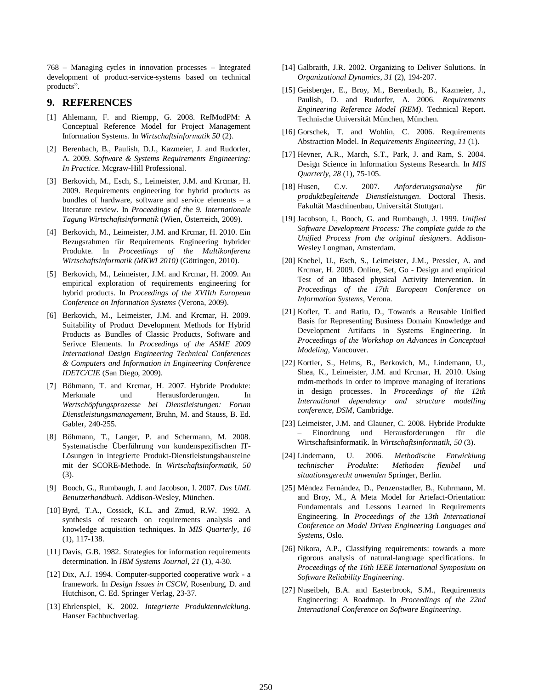768 – Managing cycles in innovation processes – Integrated development of product-service-systems based on technical products".

## **9. REFERENCES**

- [1] Ahlemann, F. and Riempp, G. 2008. RefModPM: A Conceptual Reference Model for Project Management Information Systems. In *Wirtschaftsinformatik 50* (2).
- [2] Berenbach, B., Paulish, D.J., Kazmeier, J. and Rudorfer, A. 2009. *Software & Systems Requirements Engineering: In Practice*. Mcgraw-Hill Professional.
- [3] Berkovich, M., Esch, S., Leimeister, J.M. and Krcmar, H. 2009. Requirements engineering for hybrid products as bundles of hardware, software and service elements – a literature review. In *Proceedings of the 9. Internationale Tagung Wirtschaftsinformatik* (Wien, Österreich, 2009).
- [4] Berkovich, M., Leimeister, J.M. and Krcmar, H. 2010. Ein Bezugsrahmen für Requirements Engineering hybrider Produkte. In *Proceedings of the Multikonferenz Wirtschaftsinformatik (MKWI 2010)* (Göttingen, 2010).
- [5] Berkovich, M., Leimeister, J.M. and Krcmar, H. 2009. An empirical exploration of requirements engineering for hybrid products. In *Proceedings of the XVIIth European Conference on Information Systems* (Verona, 2009).
- [6] Berkovich, M., Leimeister, J.M. and Krcmar, H. 2009. Suitability of Product Development Methods for Hybrid Products as Bundles of Classic Products, Software and Serivce Elements. In *Proceedings of the ASME 2009 International Design Engineering Technical Conferences & Computers and Information in Engineering Conference IDETC/CIE* (San Diego, 2009).
- [7] Böhmann, T. and Krcmar, H. 2007. Hybride Produkte: Merkmale und Herausforderungen. In *Wertschöpfungsprozesse bei Dienstleistungen: Forum Dienstleistungsmanagement,* Bruhn, M. and Stauss, B. Ed. Gabler, 240-255.
- [8] Böhmann, T., Langer, P. and Schermann, M. 2008. Systematische Überführung von kundenspezifischen IT-Lösungen in integrierte Produkt-Dienstleistungsbausteine mit der SCORE-Methode. In *Wirtschaftsinformatik*, *50* (3).
- [9] Booch, G., Rumbaugh, J. and Jacobson, I. 2007. *Das UML Benutzerhandbuch*. Addison-Wesley, München.
- [10] Byrd, T.A., Cossick, K.L. and Zmud, R.W. 1992. A synthesis of research on requirements analysis and knowledge acquisition techniques. In *MIS Quarterly*, *16* (1), 117-138.
- [11] Davis, G.B. 1982. Strategies for information requirements determination. In *IBM Systems Journal*, *21* (1), 4-30.
- [12] Dix, A.J. 1994. Computer-supported cooperative work a framework. In *Design Issues in CSCW,* Rosenburg, D. and Hutchison, C. Ed. Springer Verlag, 23-37.
- [13] Ehrlenspiel, K. 2002. *Integrierte Produktentwicklung.* Hanser Fachbuchverlag.
- [14] Galbraith, J.R. 2002. Organizing to Deliver Solutions. In *Organizational Dynamics*, *31* (2), 194-207.
- [15] Geisberger, E., Broy, M., Berenbach, B., Kazmeier, J., Paulish, D. and Rudorfer, A. 2006. *Requirements Engineering Reference Model (REM)*. Technical Report. Technische Universität München, München.
- [16] Gorschek, T. and Wohlin, C. 2006. Requirements Abstraction Model. In *Requirements Engineering*, *11* (1).
- [17] Hevner, A.R., March, S.T., Park, J. and Ram, S. 2004. Design Science in Information Systems Research. In *MIS Quarterly*, *28* (1), 75-105.
- [18] Husen, C.v. 2007. *Anforderungsanalyse für produktbegleitende Dienstleistungen*. Doctoral Thesis. Fakultät Maschinenbau, Universität Stuttgart.
- [19] Jacobson, I., Booch, G. and Rumbaugh, J. 1999. *Unified Software Development Process: The complete guide to the Unified Process from the original designers*. Addison-Wesley Longman, Amsterdam.
- [20] Knebel, U., Esch, S., Leimeister, J.M., Pressler, A. and Krcmar, H. 2009. Online, Set, Go - Design and empirical Test of an Itbased physical Activity Intervention. In *Proceedings of the 17th European Conference on Information Systems*, Verona.
- [21] Kofler, T. and Ratiu, D., Towards a Reusable Unified Basis for Representing Business Domain Knowledge and Development Artifacts in Systems Engineering. In *Proceedings of the Workshop on Advances in Conceptual Modeling*, Vancouver.
- [22] Kortler, S., Helms, B., Berkovich, M., Lindemann, U., Shea, K., Leimeister, J.M. and Krcmar, H. 2010. Using mdm-methods in order to improve managing of iterations in design processes. In *Proceedings of the 12th International dependency and structure modelling conference, DSM*, Cambridge.
- [23] Leimeister, J.M. and Glauner, C. 2008. Hybride Produkte – Einordnung und Herausforderungen für die Wirtschaftsinformatik. In *Wirtschaftsinformatik*, *50* (3).
- [24] Lindemann, U. 2006. *Methodische Entwicklung technischer Produkte: Methoden flexibel und situationsgerecht anwenden* Springer, Berlin.
- [25] Méndez Fernández, D., Penzenstadler, B., Kuhrmann, M. and Broy, M., A Meta Model for Artefact-Orientation: Fundamentals and Lessons Learned in Requirements Engineering. In *Proceedings of the 13th International Conference on Model Driven Engineering Languages and Systems*, Oslo.
- [26] Nikora, A.P., Classifying requirements: towards a more rigorous analysis of natural-language specifications. In *Proceedings of the 16th IEEE International Symposium on Software Reliability Engineering*.
- [27] Nuseibeh, B.A. and Easterbrook, S.M., Requirements Engineering: A Roadmap. In *Proceedings of the 22nd International Conference on Software Engineering*.